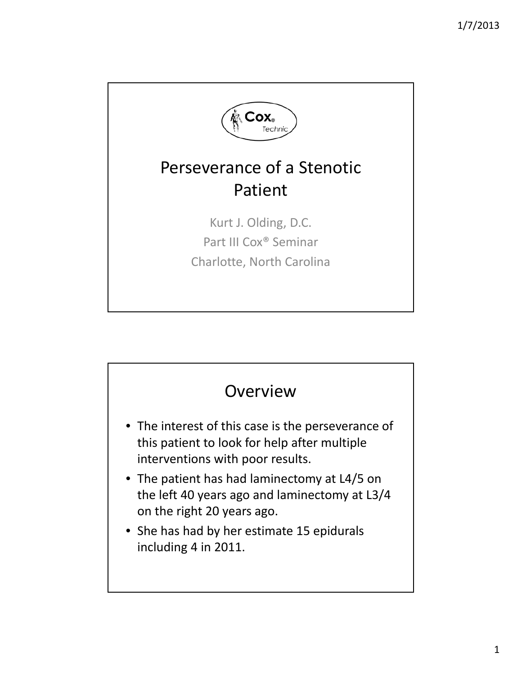

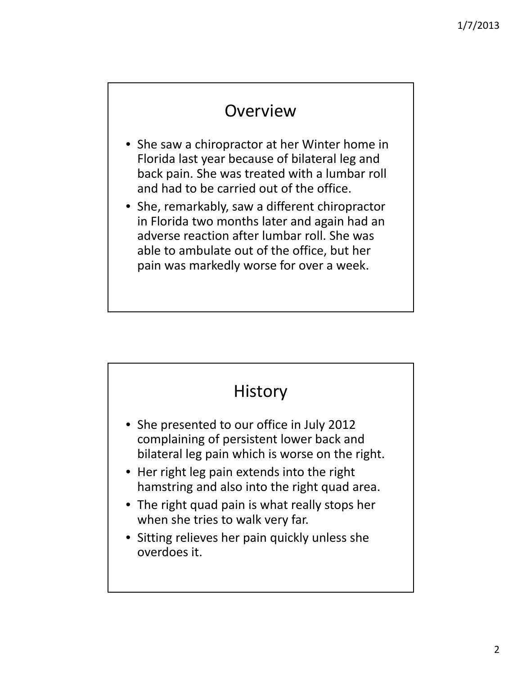### Overview

- She saw a chiropractor at her Winter home in Florida last year because of bilateral leg and back pain. She was treated with a lumbar roll and had to be carried out of the office.
- She, remarkably, saw a different chiropractor in Florida two months later and again had an adverse reaction after lumbar roll. She was able to ambulate out of the office, but her pain was markedly worse for over a week.

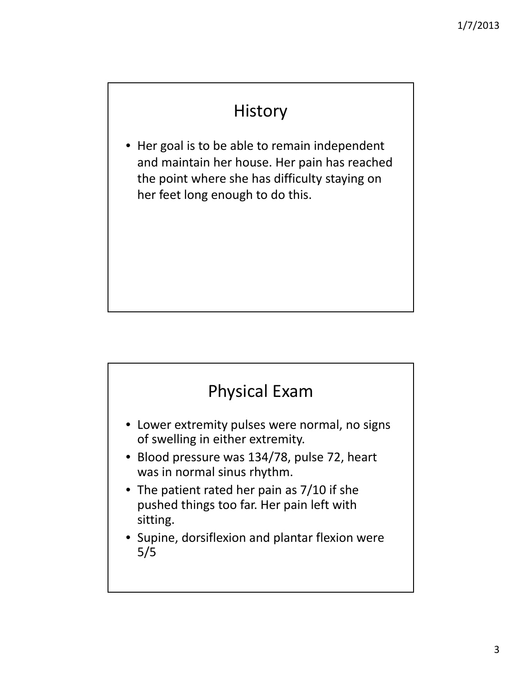# History

• Her goal is to be able to remain independent and maintain her house. Her pain has reached the point where she has difficulty staying on her feet long enough to do this.

#### Physical Exam • Lower extremity pulses were normal, no signs of swelling in either extremity. • Blood pressure was 134/78, pulse 72, heart was in normal sinus rhythm. • The patient rated her pain as 7/10 if she pushed things too far. Her pain left with sitting.

• Supine, dorsiflexion and plantar flexion were 5/5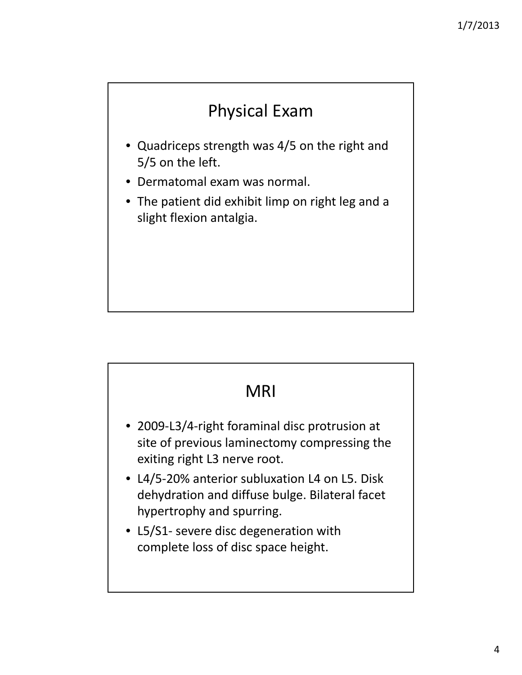# Physical Exam

- Quadriceps strength was 4/5 on the right and 5/5 on the left.
- Dermatomal exam was normal.
- The patient did exhibit limp on right leg and a slight flexion antalgia.

#### MRI

- 2009‐L3/4‐right foraminal disc protrusion at site of previous laminectomy compressing the exiting right L3 nerve root.
- L4/5‐20% anterior subluxation L4 on L5. Disk dehydration and diffuse bulge. Bilateral facet hypertrophy and spurring.
- L5/S1‐ severe disc degeneration with complete loss of disc space height.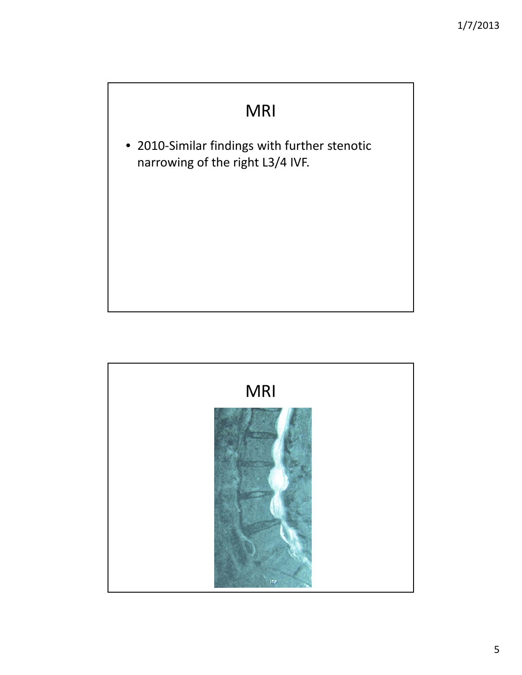### MRI

• 2010‐Similar findings with further stenotic narrowing of the right L3/4 IVF.

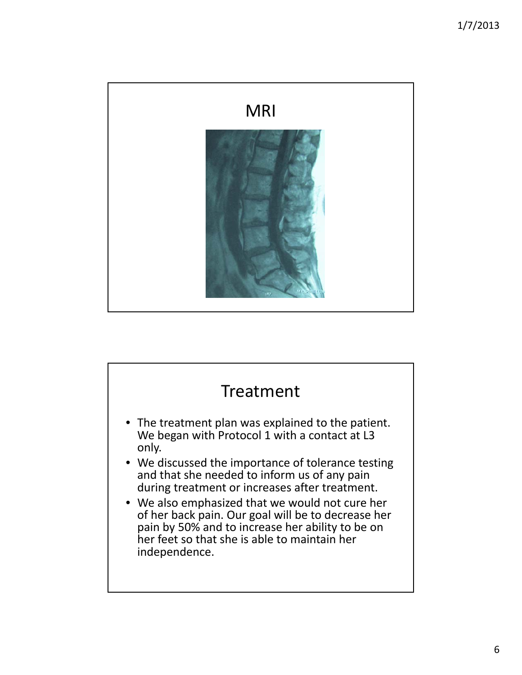

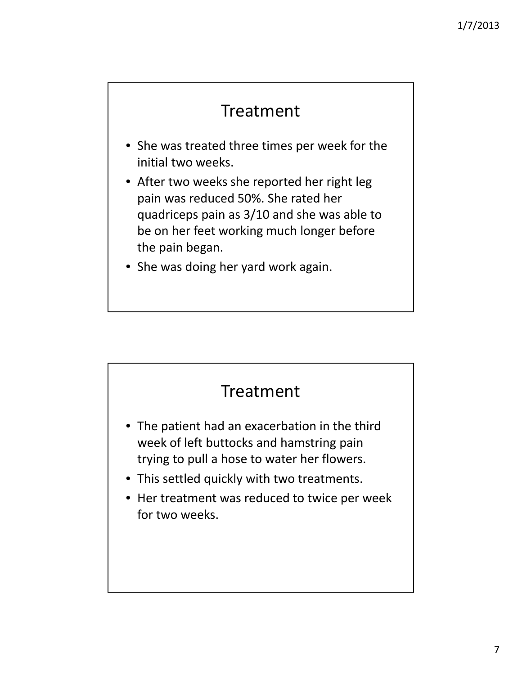### Treatment

- She was treated three times per week for the initial two weeks.
- After two weeks she reported her right leg pain was reduced 50%. She rated her quadriceps pain as 3/10 and she was able to be on her feet working much longer before the pain began.
- She was doing her yard work again.

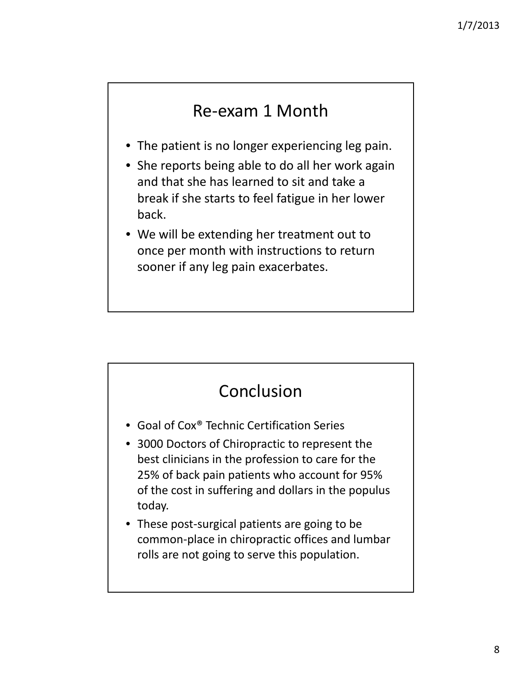### Re‐exam 1 Month

- The patient is no longer experiencing leg pain.
- She reports being able to do all her work again and that she has learned to sit and take a break if she starts to feel fatigue in her lower back.
- We will be extending her treatment out to once per month with instructions to return sooner if any leg pain exacerbates.